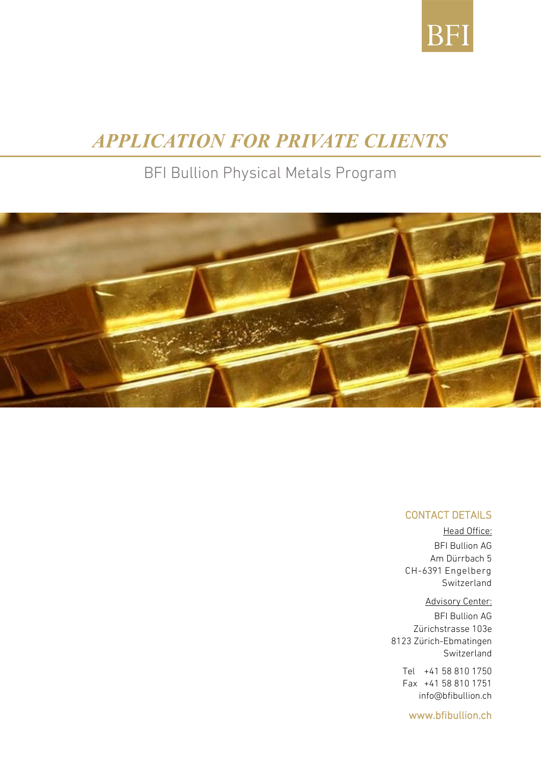

# *APPLICATION FOR PRIVATE CLIENTS*

## BFI Bullion Physical Metals Program



#### CONTACT DETAILS

Head Office: BFI Bullion AG Am Dürrbach 5 CH-6391 Engelberg Switzerland

#### Advisory Center:

BFI Bullion AG Zürichstrasse 103e 8123 Zürich-Ebmatingen Switzerland

Tel +41 58 810 1750 Fax +41 58 810 1751 [info@bfibullion.ch](mailto:Info@bfibullion.ch)

[www.bfibullion.ch](http://www.bfibullion.ch/)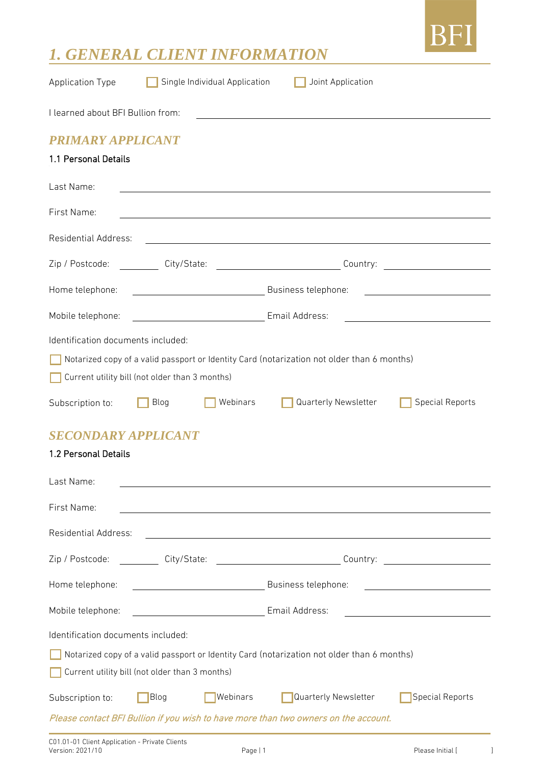

### *1. GENERAL CLIENT INFORMATION*

| <b>Application Type</b>                                                                                                                                   | Single Individual Application                  | Joint Application                                                                                                                                                                                                              |                                                                                                                         |  |  |
|-----------------------------------------------------------------------------------------------------------------------------------------------------------|------------------------------------------------|--------------------------------------------------------------------------------------------------------------------------------------------------------------------------------------------------------------------------------|-------------------------------------------------------------------------------------------------------------------------|--|--|
| I learned about BFI Bullion from:<br><u> 1989 - Johann John Stone, markin film yn y brening yn y brening yn y brening yn y brening y brening yn y bre</u> |                                                |                                                                                                                                                                                                                                |                                                                                                                         |  |  |
| <b>PRIMARY APPLICANT</b>                                                                                                                                  |                                                |                                                                                                                                                                                                                                |                                                                                                                         |  |  |
| 1.1 Personal Details                                                                                                                                      |                                                |                                                                                                                                                                                                                                |                                                                                                                         |  |  |
| Last Name:                                                                                                                                                |                                                |                                                                                                                                                                                                                                |                                                                                                                         |  |  |
| First Name:                                                                                                                                               |                                                |                                                                                                                                                                                                                                |                                                                                                                         |  |  |
| Residential Address:                                                                                                                                      |                                                | <u> 2000 - Jan James James Barbara, poeta estas política estas políticas de la propia de la propia de la propia d</u>                                                                                                          |                                                                                                                         |  |  |
|                                                                                                                                                           |                                                | Zip / Postcode: ___________ City/State: _____________________________Country: ___________________________                                                                                                                      |                                                                                                                         |  |  |
| Home telephone:                                                                                                                                           | Business telephone:                            |                                                                                                                                                                                                                                | <u> 1980 - Jan Samuel Barbara, político establecera e a seu altre de la propia de la propia de la propia de la p</u>    |  |  |
| Mobile telephone:                                                                                                                                         | Email Address:                                 |                                                                                                                                                                                                                                |                                                                                                                         |  |  |
| Identification documents included:                                                                                                                        |                                                |                                                                                                                                                                                                                                |                                                                                                                         |  |  |
|                                                                                                                                                           |                                                | Notarized copy of a valid passport or Identity Card (notarization not older than 6 months)                                                                                                                                     |                                                                                                                         |  |  |
|                                                                                                                                                           |                                                |                                                                                                                                                                                                                                |                                                                                                                         |  |  |
|                                                                                                                                                           | Current utility bill (not older than 3 months) |                                                                                                                                                                                                                                |                                                                                                                         |  |  |
| Subscription to:                                                                                                                                          | Webinars<br>Blog                               | Quarterly Newsletter                                                                                                                                                                                                           | <b>Special Reports</b>                                                                                                  |  |  |
| <b>SECONDARY APPLICANT</b>                                                                                                                                |                                                |                                                                                                                                                                                                                                |                                                                                                                         |  |  |
|                                                                                                                                                           |                                                |                                                                                                                                                                                                                                |                                                                                                                         |  |  |
| 1.2 Personal Details                                                                                                                                      |                                                |                                                                                                                                                                                                                                |                                                                                                                         |  |  |
| Last Name:                                                                                                                                                |                                                |                                                                                                                                                                                                                                |                                                                                                                         |  |  |
| First Name:                                                                                                                                               |                                                |                                                                                                                                                                                                                                |                                                                                                                         |  |  |
| <b>Residential Address:</b>                                                                                                                               |                                                | the control of the control of the control of the control of the control of the control of the control of the control of the control of the control of the control of the control of the control of the control of the control  |                                                                                                                         |  |  |
| Zip / Postcode:                                                                                                                                           |                                                | City/State: 2000 City/State: 2000 Country: 2000 Country: 2000 Country: 2000 Country: 2000 Country: 2000 Country: 2000 Country: 2000 Country: 2000 Country: 2000 Country: 2000 Country: 2000 Country: 2000 Country: 2000 Countr |                                                                                                                         |  |  |
| Home telephone:                                                                                                                                           |                                                |                                                                                                                                                                                                                                | <u> 1989 - Johann Stoff, deutscher Stoffen und der Stoffen und der Stoffen und der Stoffen und der Stoffen und der </u> |  |  |
| Mobile telephone:                                                                                                                                         |                                                |                                                                                                                                                                                                                                |                                                                                                                         |  |  |
| Identification documents included:                                                                                                                        |                                                |                                                                                                                                                                                                                                |                                                                                                                         |  |  |
| Notarized copy of a valid passport or Identity Card (notarization not older than 6 months)                                                                |                                                |                                                                                                                                                                                                                                |                                                                                                                         |  |  |
|                                                                                                                                                           | Current utility bill (not older than 3 months) |                                                                                                                                                                                                                                |                                                                                                                         |  |  |
| Subscription to:                                                                                                                                          | Webinars<br>Blog                               | Quarterly Newsletter                                                                                                                                                                                                           | <b>Special Reports</b>                                                                                                  |  |  |
|                                                                                                                                                           |                                                | Please contact BFI Bullion if you wish to have more than two owners on the account.                                                                                                                                            |                                                                                                                         |  |  |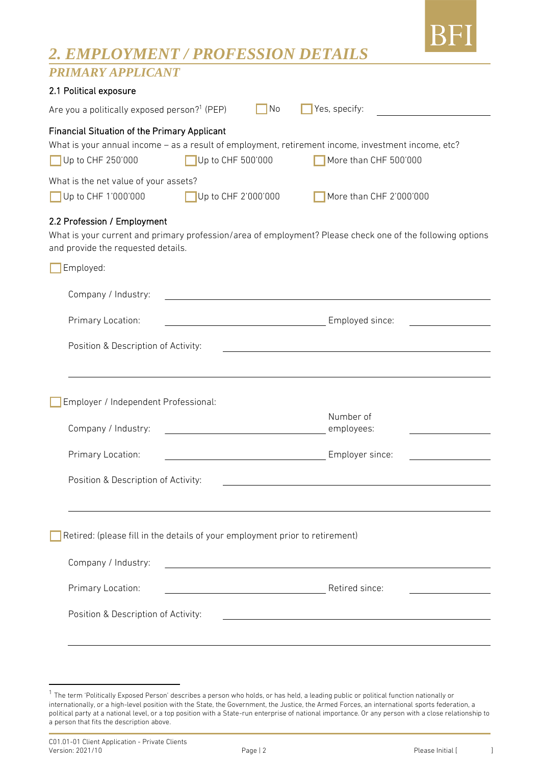

### *2. EMPLOYMENT / PROFESSION DETAILS*

### *PRIMARY APPLICANT*

| 2.1 Political exposure                                                                                                                                                         |                                                      |  |                                                                                                                             |  |  |
|--------------------------------------------------------------------------------------------------------------------------------------------------------------------------------|------------------------------------------------------|--|-----------------------------------------------------------------------------------------------------------------------------|--|--|
| Are you a politically exposed person? <sup>1</sup> (PEP)<br>Yes, specify:<br>No                                                                                                |                                                      |  |                                                                                                                             |  |  |
| Financial Situation of the Primary Applicant<br>Up to CHF 250'000<br>What is the net value of your assets?                                                                     | Up to CHF 500'000                                    |  | What is your annual income - as a result of employment, retirement income, investment income, etc?<br>More than CHF 500'000 |  |  |
| Up to CHF 1'000'000                                                                                                                                                            | Up to CHF 2'000'000                                  |  | More than CHF 2'000'000                                                                                                     |  |  |
| 2.2 Profession / Employment<br>What is your current and primary profession/area of employment? Please check one of the following options<br>and provide the requested details. |                                                      |  |                                                                                                                             |  |  |
| Employed:                                                                                                                                                                      |                                                      |  |                                                                                                                             |  |  |
| Company / Industry:                                                                                                                                                            |                                                      |  |                                                                                                                             |  |  |
| Primary Location:                                                                                                                                                              |                                                      |  | <b>Employed since:</b> Employed since:                                                                                      |  |  |
| Position & Description of Activity:                                                                                                                                            |                                                      |  |                                                                                                                             |  |  |
|                                                                                                                                                                                |                                                      |  |                                                                                                                             |  |  |
| Employer / Independent Professional:                                                                                                                                           |                                                      |  |                                                                                                                             |  |  |
| Company / Industry:                                                                                                                                                            |                                                      |  | Number of<br>employees:                                                                                                     |  |  |
| Primary Location:                                                                                                                                                              |                                                      |  | Employer since:                                                                                                             |  |  |
| Position & Description of Activity:                                                                                                                                            |                                                      |  |                                                                                                                             |  |  |
|                                                                                                                                                                                |                                                      |  |                                                                                                                             |  |  |
| Retired: (please fill in the details of your employment prior to retirement)                                                                                                   |                                                      |  |                                                                                                                             |  |  |
| Company / Industry:                                                                                                                                                            |                                                      |  |                                                                                                                             |  |  |
| Primary Location:                                                                                                                                                              | <u> 1989 - Johann Stoff, Amerikaansk politiker (</u> |  | Retired since:                                                                                                              |  |  |
| Position & Description of Activity:                                                                                                                                            |                                                      |  |                                                                                                                             |  |  |
|                                                                                                                                                                                |                                                      |  |                                                                                                                             |  |  |
|                                                                                                                                                                                |                                                      |  |                                                                                                                             |  |  |

<sup>&</sup>lt;sup>1</sup> The term 'Politically Exposed Person' describes a person who holds, or has held, a leading public or political function nationally or internationally, or a high-level position with the State, the Government, the Justice, the Armed Forces, an international sports federation, a political party at a national level, or a top position with a State-run enterprise of national importance. Or any person with a close relationship to a person that fits the description above.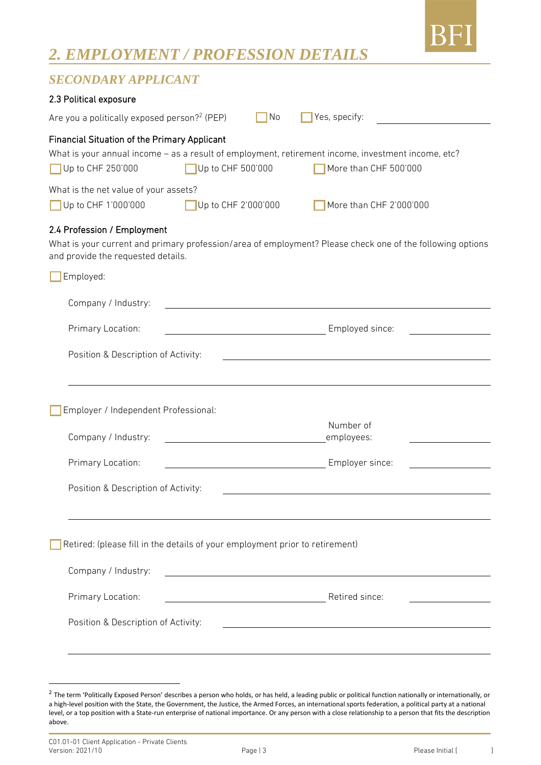

### *2. EMPLOYMENT / PROFESSION DETAILS*

### *SECONDARY APPLICANT*

| 2.3 Political exposure                                                                                                                                                                                                                                                |  |  |  |  |
|-----------------------------------------------------------------------------------------------------------------------------------------------------------------------------------------------------------------------------------------------------------------------|--|--|--|--|
| Are you a politically exposed person? <sup>2</sup> (PEP)<br>Yes, specify:<br>No                                                                                                                                                                                       |  |  |  |  |
| <b>Financial Situation of the Primary Applicant</b><br>What is your annual income - as a result of employment, retirement income, investment income, etc?<br>Up to CHF 250'000<br>Up to CHF 500'000<br>More than CHF 500'000<br>What is the net value of your assets? |  |  |  |  |
| Up to CHF 1'000'000<br>Up to CHF 2'000'000<br>More than CHF 2'000'000                                                                                                                                                                                                 |  |  |  |  |
| 2.4 Profession / Employment<br>What is your current and primary profession/area of employment? Please check one of the following options<br>and provide the requested details.                                                                                        |  |  |  |  |
| Employed:                                                                                                                                                                                                                                                             |  |  |  |  |
| Company / Industry:                                                                                                                                                                                                                                                   |  |  |  |  |
| Primary Location:<br>Employed since:                                                                                                                                                                                                                                  |  |  |  |  |
| Position & Description of Activity:                                                                                                                                                                                                                                   |  |  |  |  |
|                                                                                                                                                                                                                                                                       |  |  |  |  |
| Employer / Independent Professional:                                                                                                                                                                                                                                  |  |  |  |  |
| Number of<br>Company / Industry:<br>employees:                                                                                                                                                                                                                        |  |  |  |  |
| Primary Location:<br>Employer since:                                                                                                                                                                                                                                  |  |  |  |  |
| Position & Description of Activity:                                                                                                                                                                                                                                   |  |  |  |  |
|                                                                                                                                                                                                                                                                       |  |  |  |  |
| Retired: (please fill in the details of your employment prior to retirement)                                                                                                                                                                                          |  |  |  |  |
| Company / Industry:                                                                                                                                                                                                                                                   |  |  |  |  |
| Primary Location:<br>Retired since:                                                                                                                                                                                                                                   |  |  |  |  |
| Position & Description of Activity:                                                                                                                                                                                                                                   |  |  |  |  |
|                                                                                                                                                                                                                                                                       |  |  |  |  |
|                                                                                                                                                                                                                                                                       |  |  |  |  |

 $^2$  The term 'Politically Exposed Person' describes a person who holds, or has held, a leading public or political function nationally or internationally, or a high-level position with the State, the Government, the Justice, the Armed Forces, an international sports federation, a political party at a national level, or a top position with a State-run enterprise of national importance. Or any person with a close relationship to a person that fits the description above.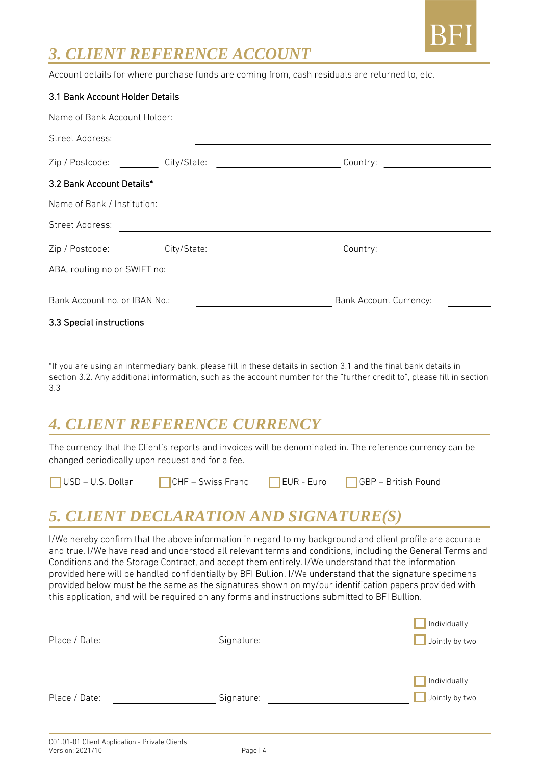

### *3. CLIENT REFERENCE ACCOUNT*

Account details for where purchase funds are coming from, cash residuals are returned to, etc.

| 3.1 Bank Account Holder Details                                               |                                                                                                           |  |  |  |  |
|-------------------------------------------------------------------------------|-----------------------------------------------------------------------------------------------------------|--|--|--|--|
| Name of Bank Account Holder:                                                  |                                                                                                           |  |  |  |  |
| Street Address:                                                               |                                                                                                           |  |  |  |  |
|                                                                               | Zip / Postcode: ___________ City/State: _______________________________Country: ____________________      |  |  |  |  |
| 3.2 Bank Account Details*                                                     |                                                                                                           |  |  |  |  |
| Name of Bank / Institution:                                                   |                                                                                                           |  |  |  |  |
| Street Address:<br><u> 1989 - Johann John Stein, fransk politik (d. 1989)</u> |                                                                                                           |  |  |  |  |
|                                                                               | Zip / Postcode: ___________ City/State: _______________________________Country: _________________________ |  |  |  |  |
| ABA, routing no or SWIFT no:                                                  |                                                                                                           |  |  |  |  |
| Bank Account no. or IBAN No.:                                                 | <b>Bank Account Currency:</b>                                                                             |  |  |  |  |
| 3.3 Special instructions                                                      |                                                                                                           |  |  |  |  |

\*If you are using an intermediary bank, please fill in these details in section 3.1 and the final bank details in section 3.2. Any additional information, such as the account number for the "further credit to", please fill in section 3.3

### *4. CLIENT REFERENCE CURRENCY*

The currency that the Client's reports and invoices will be denominated in. The reference currency can be changed periodically upon request and for a fee.

USD – U.S. Dollar CHF – Swiss Franc EUR - Euro GBP – British Pound

## *5. CLIENT DECLARATION AND SIGNATURE(S)*

I/We hereby confirm that the above information in regard to my background and client profile are accurate and true. I/We have read and understood all relevant terms and conditions, including the General Terms and Conditions and the Storage Contract, and accept them entirely. I/We understand that the information provided here will be handled confidentially by BFI Bullion. I/We understand that the signature specimens provided below must be the same as the signatures shown on my/our identification papers provided with this application, and will be required on any forms and instructions submitted to BFI Bullion.

|               |            | Individually   |
|---------------|------------|----------------|
| Place / Date: | Signature: | Jointly by two |
|               |            |                |
|               |            |                |
|               |            | Individually   |
| Place / Date: | Signature: | Jointly by two |
|               |            |                |
|               |            |                |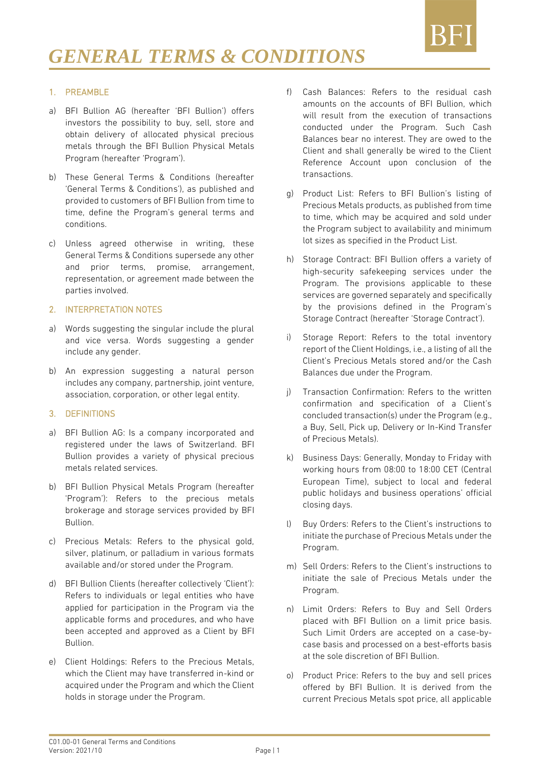

#### 1. PREAMBLE

- a) BFI Bullion AG (hereafter 'BFI Bullion') offers investors the possibility to buy, sell, store and obtain delivery of allocated physical precious metals through the BFI Bullion Physical Metals Program (hereafter 'Program').
- b) These General Terms & Conditions (hereafter 'General Terms & Conditions'), as published and provided to customers of BFI Bullion from time to time, define the Program's general terms and conditions.
- c) Unless agreed otherwise in writing, these General Terms & Conditions supersede any other and prior terms, promise, arrangement, representation, or agreement made between the parties involved.

#### 2. INTERPRETATION NOTES

- a) Words suggesting the singular include the plural and vice versa. Words suggesting a gender include any gender.
- b) An expression suggesting a natural person includes any company, partnership, joint venture, association, corporation, or other legal entity.

#### 3. DEFINITIONS

- a) BFI Bullion AG: Is a company incorporated and registered under the laws of Switzerland. BFI Bullion provides a variety of physical precious metals related services.
- b) BFI Bullion Physical Metals Program (hereafter 'Program'): Refers to the precious metals brokerage and storage services provided by BFI Bullion.
- c) Precious Metals: Refers to the physical gold, silver, platinum, or palladium in various formats available and/or stored under the Program.
- d) BFI Bullion Clients (hereafter collectively 'Client'): Refers to individuals or legal entities who have applied for participation in the Program via the applicable forms and procedures, and who have been accepted and approved as a Client by BFI Bullion.
- e) Client Holdings: Refers to the Precious Metals, which the Client may have transferred in-kind or acquired under the Program and which the Client holds in storage under the Program.
- f) Cash Balances: Refers to the residual cash amounts on the accounts of BFI Bullion, which will result from the execution of transactions conducted under the Program. Such Cash Balances bear no interest. They are owed to the Client and shall generally be wired to the Client Reference Account upon conclusion of the transactions.
- g) Product List: Refers to BFI Bullion's listing of Precious Metals products, as published from time to time, which may be acquired and sold under the Program subject to availability and minimum lot sizes as specified in the Product List.
- h) Storage Contract: BFI Bullion offers a variety of high-security safekeeping services under the Program. The provisions applicable to these services are governed separately and specifically by the provisions defined in the Program's Storage Contract (hereafter 'Storage Contract').
- i) Storage Report: Refers to the total inventory report of the Client Holdings, i.e., a listing of all the Client's Precious Metals stored and/or the Cash Balances due under the Program.
- j) Transaction Confirmation: Refers to the written confirmation and specification of a Client's concluded transaction(s) under the Program (e.g., a Buy, Sell, Pick up, Delivery or In-Kind Transfer of Precious Metals).
- k) Business Days: Generally, Monday to Friday with working hours from 08:00 to 18:00 CET (Central European Time), subject to local and federal public holidays and business operations' official closing days.
- l) Buy Orders: Refers to the Client's instructions to initiate the purchase of Precious Metals under the Program.
- m) Sell Orders: Refers to the Client's instructions to initiate the sale of Precious Metals under the Program.
- n) Limit Orders: Refers to Buy and Sell Orders placed with BFI Bullion on a limit price basis. Such Limit Orders are accepted on a case-bycase basis and processed on a best-efforts basis at the sole discretion of BFI Bullion.
- o) Product Price: Refers to the buy and sell prices offered by BFI Bullion. It is derived from the current Precious Metals spot price, all applicable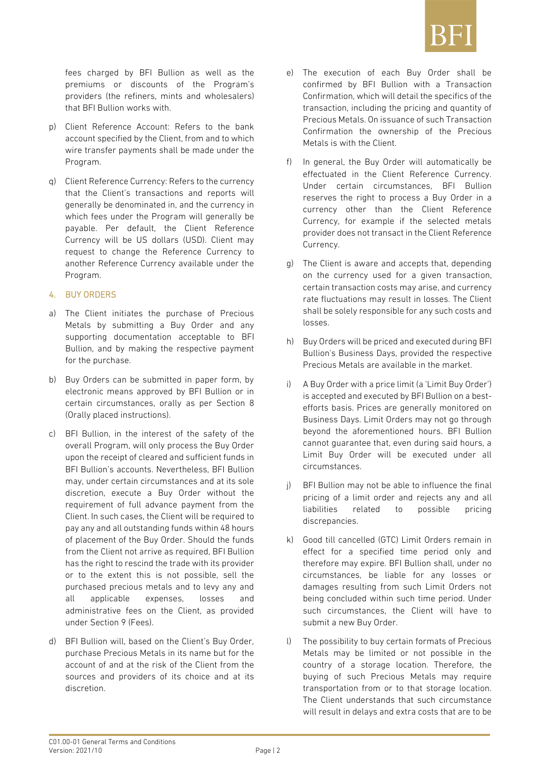

fees charged by BFI Bullion as well as the premiums or discounts of the Program's providers (the refiners, mints and wholesalers) that BFI Bullion works with.

- p) Client Reference Account: Refers to the bank account specified by the Client, from and to which wire transfer payments shall be made under the Program.
- q) Client Reference Currency: Refers to the currency that the Client's transactions and reports will generally be denominated in, and the currency in which fees under the Program will generally be payable. Per default, the Client Reference Currency will be US dollars (USD). Client may request to change the Reference Currency to another Reference Currency available under the Program.

#### 4. BUY ORDERS

- a) The Client initiates the purchase of Precious Metals by submitting a Buy Order and any supporting documentation acceptable to BFI Bullion, and by making the respective payment for the purchase.
- b) Buy Orders can be submitted in paper form, by electronic means approved by BFI Bullion or in certain circumstances, orally as per Section 8 (Orally placed instructions).
- c) BFI Bullion, in the interest of the safety of the overall Program, will only process the Buy Order upon the receipt of cleared and sufficient funds in BFI Bullion's accounts. Nevertheless, BFI Bullion may, under certain circumstances and at its sole discretion, execute a Buy Order without the requirement of full advance payment from the Client. In such cases, the Client will be required to pay any and all outstanding funds within 48 hours of placement of the Buy Order. Should the funds from the Client not arrive as required, BFI Bullion has the right to rescind the trade with its provider or to the extent this is not possible, sell the purchased precious metals and to levy any and all applicable expenses, losses and administrative fees on the Client, as provided under Section 9 (Fees).
- d) BFI Bullion will, based on the Client's Buy Order, purchase Precious Metals in its name but for the account of and at the risk of the Client from the sources and providers of its choice and at its discretion.
- e) The execution of each Buy Order shall be confirmed by BFI Bullion with a Transaction Confirmation, which will detail the specifics of the transaction, including the pricing and quantity of Precious Metals. On issuance of such Transaction Confirmation the ownership of the Precious Metals is with the Client.
- f) In general, the Buy Order will automatically be effectuated in the Client Reference Currency. Under certain circumstances, BFI Bullion reserves the right to process a Buy Order in a currency other than the Client Reference Currency, for example if the selected metals provider does not transact in the Client Reference Currency.
- g) The Client is aware and accepts that, depending on the currency used for a given transaction, certain transaction costs may arise, and currency rate fluctuations may result in losses. The Client shall be solely responsible for any such costs and losses.
- h) Buy Orders will be priced and executed during BFI Bullion's Business Days, provided the respective Precious Metals are available in the market.
- i) A Buy Order with a price limit (a 'Limit Buy Order') is accepted and executed by BFI Bullion on a bestefforts basis. Prices are generally monitored on Business Days. Limit Orders may not go through beyond the aforementioned hours. BFI Bullion cannot guarantee that, even during said hours, a Limit Buy Order will be executed under all circumstances.
- j) BFI Bullion may not be able to influence the final pricing of a limit order and rejects any and all liabilities related to possible pricing discrepancies.
- k) Good till cancelled (GTC) Limit Orders remain in effect for a specified time period only and therefore may expire. BFI Bullion shall, under no circumstances, be liable for any losses or damages resulting from such Limit Orders not being concluded within such time period. Under such circumstances, the Client will have to submit a new Buy Order.
- l) The possibility to buy certain formats of Precious Metals may be limited or not possible in the country of a storage location. Therefore, the buying of such Precious Metals may require transportation from or to that storage location. The Client understands that such circumstance will result in delays and extra costs that are to be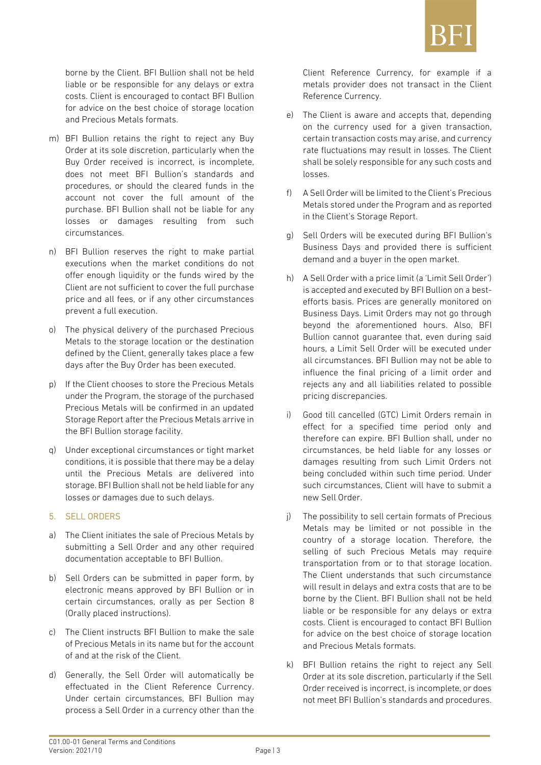

borne by the Client. BFI Bullion shall not be held liable or be responsible for any delays or extra costs. Client is encouraged to contact BFI Bullion for advice on the best choice of storage location and Precious Metals formats.

- m) BFI Bullion retains the right to reject any Buy Order at its sole discretion, particularly when the Buy Order received is incorrect, is incomplete, does not meet BFI Bullion's standards and procedures, or should the cleared funds in the account not cover the full amount of the purchase. BFI Bullion shall not be liable for any losses or damages resulting from such circumstances.
- n) BFI Bullion reserves the right to make partial executions when the market conditions do not offer enough liquidity or the funds wired by the Client are not sufficient to cover the full purchase price and all fees, or if any other circumstances prevent a full execution.
- o) The physical delivery of the purchased Precious Metals to the storage location or the destination defined by the Client, generally takes place a few days after the Buy Order has been executed.
- p) If the Client chooses to store the Precious Metals under the Program, the storage of the purchased Precious Metals will be confirmed in an updated Storage Report after the Precious Metals arrive in the BFI Bullion storage facility.
- q) Under exceptional circumstances or tight market conditions, it is possible that there may be a delay until the Precious Metals are delivered into storage. BFI Bullion shall not be held liable for any losses or damages due to such delays.

#### 5. SELL ORDERS

- a) The Client initiates the sale of Precious Metals by submitting a Sell Order and any other required documentation acceptable to BFI Bullion.
- b) Sell Orders can be submitted in paper form, by electronic means approved by BFI Bullion or in certain circumstances, orally as per Section 8 (Orally placed instructions).
- c) The Client instructs BFI Bullion to make the sale of Precious Metals in its name but for the account of and at the risk of the Client.
- d) Generally, the Sell Order will automatically be effectuated in the Client Reference Currency. Under certain circumstances, BFI Bullion may process a Sell Order in a currency other than the

Client Reference Currency, for example if a metals provider does not transact in the Client Reference Currency.

- e) The Client is aware and accepts that, depending on the currency used for a given transaction, certain transaction costs may arise, and currency rate fluctuations may result in losses. The Client shall be solely responsible for any such costs and losses.
- f) A Sell Order will be limited to the Client's Precious Metals stored under the Program and as reported in the Client's Storage Report.
- g) Sell Orders will be executed during BFI Bullion's Business Days and provided there is sufficient demand and a buyer in the open market.
- h) A Sell Order with a price limit (a 'Limit Sell Order') is accepted and executed by BFI Bullion on a bestefforts basis. Prices are generally monitored on Business Days. Limit Orders may not go through beyond the aforementioned hours. Also, BFI Bullion cannot guarantee that, even during said hours, a Limit Sell Order will be executed under all circumstances. BFI Bullion may not be able to influence the final pricing of a limit order and rejects any and all liabilities related to possible pricing discrepancies.
- i) Good till cancelled (GTC) Limit Orders remain in effect for a specified time period only and therefore can expire. BFI Bullion shall, under no circumstances, be held liable for any losses or damages resulting from such Limit Orders not being concluded within such time period. Under such circumstances, Client will have to submit a new Sell Order.
- j) The possibility to sell certain formats of Precious Metals may be limited or not possible in the country of a storage location. Therefore, the selling of such Precious Metals may require transportation from or to that storage location. The Client understands that such circumstance will result in delays and extra costs that are to be borne by the Client. BFI Bullion shall not be held liable or be responsible for any delays or extra costs. Client is encouraged to contact BFI Bullion for advice on the best choice of storage location and Precious Metals formats.
- k) BFI Bullion retains the right to reject any Sell Order at its sole discretion, particularly if the Sell Order received is incorrect, is incomplete, or does not meet BFI Bullion's standards and procedures.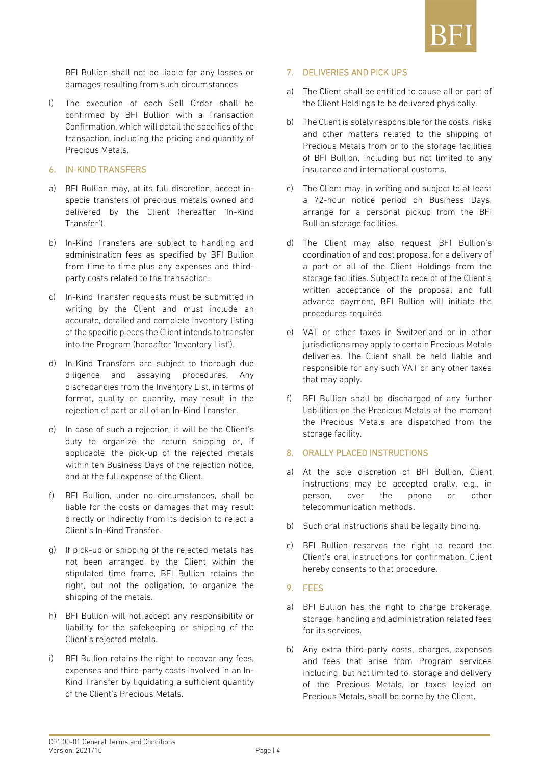

BFI Bullion shall not be liable for any losses or damages resulting from such circumstances.

l) The execution of each Sell Order shall be confirmed by BFI Bullion with a Transaction Confirmation, which will detail the specifics of the transaction, including the pricing and quantity of Precious Metals.

#### 6. IN-KIND TRANSFERS

- a) BFI Bullion may, at its full discretion, accept inspecie transfers of precious metals owned and delivered by the Client (hereafter 'In-Kind Transfer').
- b) In-Kind Transfers are subject to handling and administration fees as specified by BFI Bullion from time to time plus any expenses and thirdparty costs related to the transaction.
- c) In-Kind Transfer requests must be submitted in writing by the Client and must include an accurate, detailed and complete inventory listing of the specific pieces the Client intends to transfer into the Program (hereafter 'Inventory List').
- d) In-Kind Transfers are subject to thorough due diligence and assaying procedures. Any discrepancies from the Inventory List, in terms of format, quality or quantity, may result in the rejection of part or all of an In-Kind Transfer.
- e) In case of such a rejection, it will be the Client's duty to organize the return shipping or, if applicable, the pick-up of the rejected metals within ten Business Days of the rejection notice, and at the full expense of the Client.
- f) BFI Bullion, under no circumstances, shall be liable for the costs or damages that may result directly or indirectly from its decision to reject a Client's In-Kind Transfer.
- g) If pick-up or shipping of the rejected metals has not been arranged by the Client within the stipulated time frame, BFI Bullion retains the right, but not the obligation, to organize the shipping of the metals.
- h) BFI Bullion will not accept any responsibility or liability for the safekeeping or shipping of the Client's rejected metals.
- i) BFI Bullion retains the right to recover any fees, expenses and third-party costs involved in an In-Kind Transfer by liquidating a sufficient quantity of the Client's Precious Metals.

#### 7. DELIVERIES AND PICK UPS

- a) The Client shall be entitled to cause all or part of the Client Holdings to be delivered physically.
- b) The Client is solely responsible for the costs, risks and other matters related to the shipping of Precious Metals from or to the storage facilities of BFI Bullion, including but not limited to any insurance and international customs.
- c) The Client may, in writing and subject to at least a 72-hour notice period on Business Days, arrange for a personal pickup from the BFI Bullion storage facilities.
- d) The Client may also request BFI Bullion's coordination of and cost proposal for a delivery of a part or all of the Client Holdings from the storage facilities. Subject to receipt of the Client's written acceptance of the proposal and full advance payment, BFI Bullion will initiate the procedures required.
- e) VAT or other taxes in Switzerland or in other jurisdictions may apply to certain Precious Metals deliveries. The Client shall be held liable and responsible for any such VAT or any other taxes that may apply.
- f) BFI Bullion shall be discharged of any further liabilities on the Precious Metals at the moment the Precious Metals are dispatched from the storage facility.

#### 8. ORALLY PLACED INSTRUCTIONS

- a) At the sole discretion of BFI Bullion, Client instructions may be accepted orally, e.g., in person, over the phone or other telecommunication methods.
- b) Such oral instructions shall be legally binding.
- c) BFI Bullion reserves the right to record the Client's oral instructions for confirmation. Client hereby consents to that procedure.
- 9. FEES
- a) BFI Bullion has the right to charge brokerage, storage, handling and administration related fees for its services.
- b) Any extra third-party costs, charges, expenses and fees that arise from Program services including, but not limited to, storage and delivery of the Precious Metals, or taxes levied on Precious Metals, shall be borne by the Client.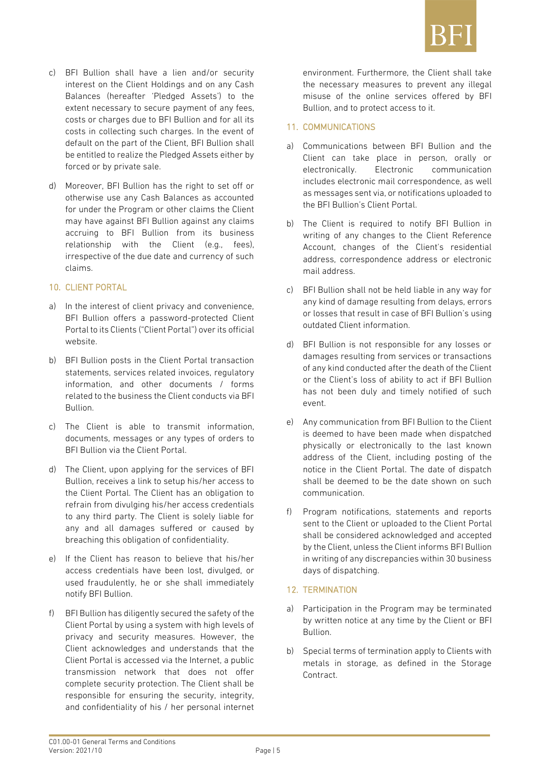

- c) BFI Bullion shall have a lien and/or security interest on the Client Holdings and on any Cash Balances (hereafter 'Pledged Assets') to the extent necessary to secure payment of any fees, costs or charges due to BFI Bullion and for all its costs in collecting such charges. In the event of default on the part of the Client, BFI Bullion shall be entitled to realize the Pledged Assets either by forced or by private sale.
- d) Moreover, BFI Bullion has the right to set off or otherwise use any Cash Balances as accounted for under the Program or other claims the Client may have against BFI Bullion against any claims accruing to BFI Bullion from its business relationship with the Client (e.g., fees), irrespective of the due date and currency of such claims.

#### 10. CLIENT PORTAL

- a) In the interest of client privacy and convenience, BFI Bullion offers a password-protected Client Portal to its Clients ("Client Portal") over its official website.
- b) BFI Bullion posts in the Client Portal transaction statements, services related invoices, regulatory information, and other documents / forms related to the business the Client conducts via BFI Bullion.
- c) The Client is able to transmit information, documents, messages or any types of orders to BFI Bullion via the Client Portal.
- d) The Client, upon applying for the services of BFI Bullion, receives a link to setup his/her access to the Client Portal. The Client has an obligation to refrain from divulging his/her access credentials to any third party. The Client is solely liable for any and all damages suffered or caused by breaching this obligation of confidentiality.
- e) If the Client has reason to believe that his/her access credentials have been lost, divulged, or used fraudulently, he or she shall immediately notify BFI Bullion.
- f) BFI Bullion has diligently secured the safety of the Client Portal by using a system with high levels of privacy and security measures. However, the Client acknowledges and understands that the Client Portal is accessed via the Internet, a public transmission network that does not offer complete security protection. The Client shall be responsible for ensuring the security, integrity, and confidentiality of his / her personal internet

environment. Furthermore, the Client shall take the necessary measures to prevent any illegal misuse of the online services offered by BFI Bullion, and to protect access to it.

#### 11. COMMUNICATIONS

- a) Communications between BFI Bullion and the Client can take place in person, orally or electronically. Electronic communication includes electronic mail correspondence, as well as messages sent via, or notifications uploaded to the BFI Bullion's Client Portal.
- b) The Client is required to notify BFI Bullion in writing of any changes to the Client Reference Account, changes of the Client's residential address, correspondence address or electronic mail address.
- c) BFI Bullion shall not be held liable in any way for any kind of damage resulting from delays, errors or losses that result in case of BFI Bullion's using outdated Client information.
- d) BFI Bullion is not responsible for any losses or damages resulting from services or transactions of any kind conducted after the death of the Client or the Client's loss of ability to act if BFI Bullion has not been duly and timely notified of such event.
- e) Any communication from BFI Bullion to the Client is deemed to have been made when dispatched physically or electronically to the last known address of the Client, including posting of the notice in the Client Portal. The date of dispatch shall be deemed to be the date shown on such communication.
- f) Program notifications, statements and reports sent to the Client or uploaded to the Client Portal shall be considered acknowledged and accepted by the Client, unless the Client informs BFI Bullion in writing of any discrepancies within 30 business days of dispatching.

#### 12. TERMINATION

- a) Participation in the Program may be terminated by written notice at any time by the Client or BFI Bullion.
- b) Special terms of termination apply to Clients with metals in storage, as defined in the Storage Contract.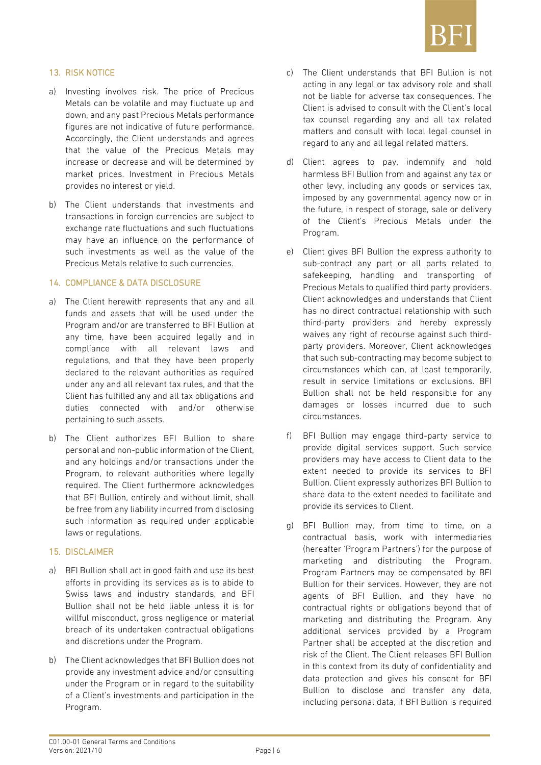

#### 13. RISK NOTICE

- a) Investing involves risk. The price of Precious Metals can be volatile and may fluctuate up and down, and any past Precious Metals performance figures are not indicative of future performance. Accordingly, the Client understands and agrees that the value of the Precious Metals may increase or decrease and will be determined by market prices. Investment in Precious Metals provides no interest or yield.
- b) The Client understands that investments and transactions in foreign currencies are subject to exchange rate fluctuations and such fluctuations may have an influence on the performance of such investments as well as the value of the Precious Metals relative to such currencies.

#### 14. COMPLIANCE & DATA DISCLOSURE

- a) The Client herewith represents that any and all funds and assets that will be used under the Program and/or are transferred to BFI Bullion at any time, have been acquired legally and in compliance with all relevant laws and regulations, and that they have been properly declared to the relevant authorities as required under any and all relevant tax rules, and that the Client has fulfilled any and all tax obligations and duties connected with and/or otherwise pertaining to such assets.
- b) The Client authorizes BFI Bullion to share personal and non-public information of the Client, and any holdings and/or transactions under the Program, to relevant authorities where legally required. The Client furthermore acknowledges that BFI Bullion, entirely and without limit, shall be free from any liability incurred from disclosing such information as required under applicable laws or regulations.

#### 15. DISCLAIMER

- a) BFI Bullion shall act in good faith and use its best efforts in providing its services as is to abide to Swiss laws and industry standards, and BFI Bullion shall not be held liable unless it is for willful misconduct, gross negligence or material breach of its undertaken contractual obligations and discretions under the Program.
- b) The Client acknowledges that BFI Bullion does not provide any investment advice and/or consulting under the Program or in regard to the suitability of a Client's investments and participation in the Program.
- c) The Client understands that BFI Bullion is not acting in any legal or tax advisory role and shall not be liable for adverse tax consequences. The Client is advised to consult with the Client's local tax counsel regarding any and all tax related matters and consult with local legal counsel in regard to any and all legal related matters.
- d) Client agrees to pay, indemnify and hold harmless BFI Bullion from and against any tax or other levy, including any goods or services tax, imposed by any governmental agency now or in the future, in respect of storage, sale or delivery of the Client's Precious Metals under the Program.
- e) Client gives BFI Bullion the express authority to sub-contract any part or all parts related to safekeeping, handling and transporting of Precious Metals to qualified third party providers. Client acknowledges and understands that Client has no direct contractual relationship with such third-party providers and hereby expressly waives any right of recourse against such thirdparty providers. Moreover, Client acknowledges that such sub-contracting may become subject to circumstances which can, at least temporarily, result in service limitations or exclusions. BFI Bullion shall not be held responsible for any damages or losses incurred due to such circumstances.
- f) BFI Bullion may engage third-party service to provide digital services support. Such service providers may have access to Client data to the extent needed to provide its services to BFI Bullion. Client expressly authorizes BFI Bullion to share data to the extent needed to facilitate and provide its services to Client.
- g) BFI Bullion may, from time to time, on a contractual basis, work with intermediaries (hereafter 'Program Partners') for the purpose of marketing and distributing the Program. Program Partners may be compensated by BFI Bullion for their services. However, they are not agents of BFI Bullion, and they have no contractual rights or obligations beyond that of marketing and distributing the Program. Any additional services provided by a Program Partner shall be accepted at the discretion and risk of the Client. The Client releases BFI Bullion in this context from its duty of confidentiality and data protection and gives his consent for BFI Bullion to disclose and transfer any data, including personal data, if BFI Bullion is required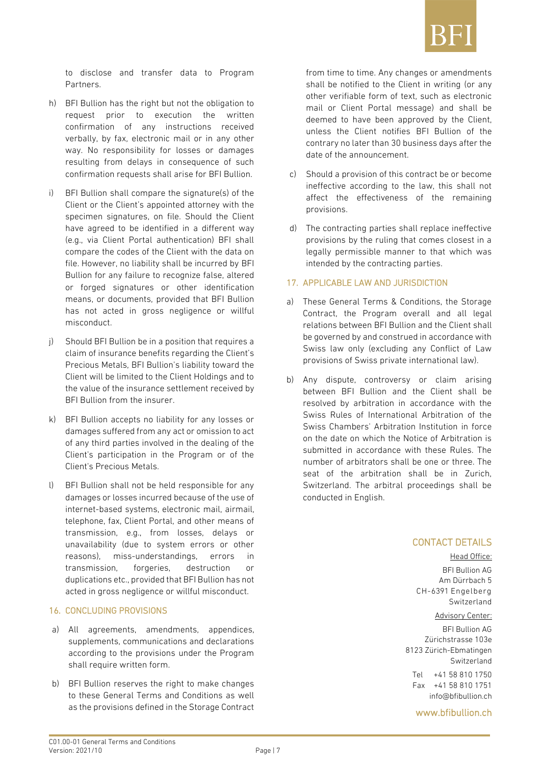

to disclose and transfer data to Program Partners.

- h) BFI Bullion has the right but not the obligation to request prior to execution the written confirmation of any instructions received verbally, by fax, electronic mail or in any other way. No responsibility for losses or damages resulting from delays in consequence of such confirmation requests shall arise for BFI Bullion.
- i) BFI Bullion shall compare the signature(s) of the Client or the Client's appointed attorney with the specimen signatures, on file. Should the Client have agreed to be identified in a different way (e.g., via Client Portal authentication) BFI shall compare the codes of the Client with the data on file. However, no liability shall be incurred by BFI Bullion for any failure to recognize false, altered or forged signatures or other identification means, or documents, provided that BFI Bullion has not acted in gross negligence or willful misconduct.
- j) Should BFI Bullion be in a position that requires a claim of insurance benefits regarding the Client's Precious Metals, BFI Bullion's liability toward the Client will be limited to the Client Holdings and to the value of the insurance settlement received by BFI Bullion from the insurer.
- k) BFI Bullion accepts no liability for any losses or damages suffered from any act or omission to act of any third parties involved in the dealing of the Client's participation in the Program or of the Client's Precious Metals.
- l) BFI Bullion shall not be held responsible for any damages or losses incurred because of the use of internet-based systems, electronic mail, airmail, telephone, fax, Client Portal, and other means of transmission, e.g., from losses, delays or unavailability (due to system errors or other reasons), miss-understandings, errors in transmission, forgeries, destruction or duplications etc., provided that BFI Bullion has not acted in gross negligence or willful misconduct.

#### 16. CONCLUDING PROVISIONS

- a) All agreements, amendments, appendices, supplements, communications and declarations according to the provisions under the Program shall require written form.
- b) BFI Bullion reserves the right to make changes to these General Terms and Conditions as well as the provisions defined in the Storage Contract

from time to time. Any changes or amendments shall be notified to the Client in writing (or any other verifiable form of text, such as electronic mail or Client Portal message) and shall be deemed to have been approved by the Client, unless the Client notifies BFI Bullion of the contrary no later than 30 business days after the date of the announcement.

- c) Should a provision of this contract be or become ineffective according to the law, this shall not affect the effectiveness of the remaining provisions.
- d) The contracting parties shall replace ineffective provisions by the ruling that comes closest in a legally permissible manner to that which was intended by the contracting parties.

#### 17. APPLICABLE LAW AND JURISDICTION

- a) These General Terms & Conditions, the Storage Contract, the Program overall and all legal relations between BFI Bullion and the Client shall be governed by and construed in accordance with Swiss law only (excluding any Conflict of Law provisions of Swiss private international law).
- b) Any dispute, controversy or claim arising between BFI Bullion and the Client shall be resolved by arbitration in accordance with the Swiss Rules of International Arbitration of the Swiss Chambers' Arbitration Institution in force on the date on which the Notice of Arbitration is submitted in accordance with these Rules. The number of arbitrators shall be one or three. The seat of the arbitration shall be in Zurich, Switzerland. The arbitral proceedings shall be conducted in English.

#### CONTACT DETAILS

#### Head Office:

BFI Bullion AG Am Dürrbach 5 CH-6391 Engelberg Switzerland

#### Advisory Center:

BFI Bullion AG Zürichstrasse 103e 8123 Zürich-Ebmatingen Switzerland

Tel +41 58 810 1750 Fax +41 58 810 1751 [info@bfibullion.ch](mailto:Info@bfibullion.ch)

[www.bfibullion.ch](http://www.bfibullion.ch/)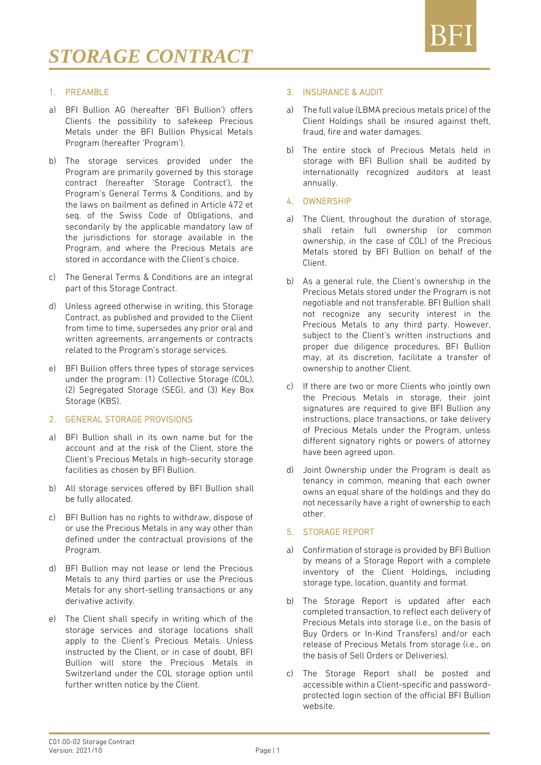

#### 1. PREAMBLE

- a) BFI Bullion AG (hereafter 'BFI Bullion') offers Clients the possibility to safekeep Precious Metals under the BFI Bullion Physical Metals Program (hereafter 'Program').
- b) The storage services provided under the Program are primarily governed by this storage contract (hereafter 'Storage Contract'), the Program's General Terms & Conditions, and by the laws on bailment as defined in Article 472 et seq. of the Swiss Code of Obligations, and secondarily by the applicable mandatory law of the jurisdictions for storage available in the Program, and where the Precious Metals are stored in accordance with the Client's choice.
- c) The General Terms & Conditions are an integral part of this Storage Contract.
- d) Unless agreed otherwise in writing, this Storage Contract, as published and provided to the Client from time to time, supersedes any prior oral and written agreements, arrangements or contracts related to the Program's storage services.
- e) BFI Bullion offers three types of storage services under the program: (1) Collective Storage (COL), (2) Segregated Storage (SEG), and (3) Key Box Storage (KBS).

#### 2. GENERAL STORAGE PROVISIONS

- a) BFI Bullion shall in its own name but for the account and at the risk of the Client, store the Client's Precious Metals in high-security storage facilities as chosen by BFI Bullion.
- b) All storage services offered by BFI Bullion shall be fully allocated.
- c) BFI Bullion has no rights to withdraw, dispose of or use the Precious Metals in any way other than defined under the contractual provisions of the Program.
- d) BFI Bullion may not lease or lend the Precious Metals to any third parties or use the Precious Metals for any short-selling transactions or any derivative activity.
- e) The Client shall specify in writing which of the storage services and storage locations shall apply to the Client's Precious Metals. Unless instructed by the Client, or in case of doubt, BFI Bullion will store the Precious Metals in Switzerland under the COL storage option until further written notice by the Client.

#### 3. INSURANCE & AUDIT

- a) The full value (LBMA precious metals price) of the Client Holdings shall be insured against theft, fraud, fire and water damages.
- b) The entire stock of Precious Metals held in storage with BFI Bullion shall be audited by internationally recognized auditors at least annually.

#### 4. OWNERSHIP

- a) The Client, throughout the duration of storage, shall retain full ownership (or common ownership, in the case of COL) of the Precious Metals stored by BFI Bullion on behalf of the Client.
- b) As a general rule, the Client's ownership in the Precious Metals stored under the Program is not negotiable and not transferable. BFI Bullion shall not recognize any security interest in the Precious Metals to any third party. However, subject to the Client's written instructions and proper due diligence procedures, BFI Bullion may, at its discretion, facilitate a transfer of ownership to another Client.
- c) If there are two or more Clients who jointly own the Precious Metals in storage, their joint signatures are required to give BFI Bullion any instructions, place transactions, or take delivery of Precious Metals under the Program, unless different signatory rights or powers of attorney have been agreed upon.
- d) Joint Ownership under the Program is dealt as tenancy in common, meaning that each owner owns an equal share of the holdings and they do not necessarily have a right of ownership to each other.

#### 5. STORAGE REPORT

- a) Confirmation of storage is provided by BFI Bullion by means of a Storage Report with a complete inventory of the Client Holdings, including storage type, location, quantity and format.
- b) The Storage Report is updated after each completed transaction, to reflect each delivery of Precious Metals into storage (i.e., on the basis of Buy Orders or In-Kind Transfers) and/or each release of Precious Metals from storage (i.e., on the basis of Sell Orders or Deliveries).
- c) The Storage Report shall be posted and accessible within a Client-specific and passwordprotected login section of the official BFI Bullion website.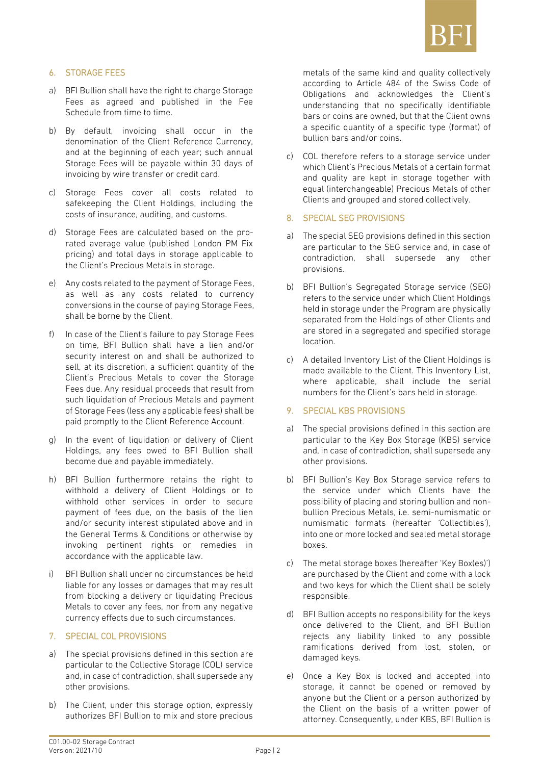

#### 6. STORAGE FEES

- a) BFI Bullion shall have the right to charge Storage Fees as agreed and published in the Fee Schedule from time to time.
- b) By default, invoicing shall occur in the denomination of the Client Reference Currency, and at the beginning of each year; such annual Storage Fees will be payable within 30 days of invoicing by wire transfer or credit card.
- c) Storage Fees cover all costs related to safekeeping the Client Holdings, including the costs of insurance, auditing, and customs.
- d) Storage Fees are calculated based on the prorated average value (published London PM Fix pricing) and total days in storage applicable to the Client's Precious Metals in storage.
- e) Any costs related to the payment of Storage Fees, as well as any costs related to currency conversions in the course of paying Storage Fees, shall be borne by the Client.
- f) In case of the Client's failure to pay Storage Fees on time, BFI Bullion shall have a lien and/or security interest on and shall be authorized to sell, at its discretion, a sufficient quantity of the Client's Precious Metals to cover the Storage Fees due. Any residual proceeds that result from such liquidation of Precious Metals and payment of Storage Fees (less any applicable fees) shall be paid promptly to the Client Reference Account.
- g) In the event of liquidation or delivery of Client Holdings, any fees owed to BFI Bullion shall become due and payable immediately.
- h) BFI Bullion furthermore retains the right to withhold a delivery of Client Holdings or to withhold other services in order to secure payment of fees due, on the basis of the lien and/or security interest stipulated above and in the General Terms & Conditions or otherwise by invoking pertinent rights or remedies in accordance with the applicable law.
- BFI Bullion shall under no circumstances be held liable for any losses or damages that may result from blocking a delivery or liquidating Precious Metals to cover any fees, nor from any negative currency effects due to such circumstances.

#### 7. SPECIAL COL PROVISIONS

- a) The special provisions defined in this section are particular to the Collective Storage (COL) service and, in case of contradiction, shall supersede any other provisions.
- b) The Client, under this storage option, expressly authorizes BFI Bullion to mix and store precious

metals of the same kind and quality collectively according to Article 484 of the Swiss Code of Obligations and acknowledges the Client's understanding that no specifically identifiable bars or coins are owned, but that the Client owns a specific quantity of a specific type (format) of bullion bars and/or coins.

c) COL therefore refers to a storage service under which Client's Precious Metals of a certain format and quality are kept in storage together with equal (interchangeable) Precious Metals of other Clients and grouped and stored collectively.

#### 8. SPECIAL SEG PROVISIONS

- a) The special SEG provisions defined in this section are particular to the SEG service and, in case of contradiction, shall supersede any other provisions.
- b) BFI Bullion's Segregated Storage service (SEG) refers to the service under which Client Holdings held in storage under the Program are physically separated from the Holdings of other Clients and are stored in a segregated and specified storage location.
- c) A detailed Inventory List of the Client Holdings is made available to the Client. This Inventory List, where applicable, shall include the serial numbers for the Client's bars held in storage.

#### 9. SPECIAL KBS PROVISIONS

- a) The special provisions defined in this section are particular to the Key Box Storage (KBS) service and, in case of contradiction, shall supersede any other provisions.
- b) BFI Bullion's Key Box Storage service refers to the service under which Clients have the possibility of placing and storing bullion and nonbullion Precious Metals, i.e. semi-numismatic or numismatic formats (hereafter 'Collectibles'), into one or more locked and sealed metal storage boxes.
- c) The metal storage boxes (hereafter 'Key Box(es)') are purchased by the Client and come with a lock and two keys for which the Client shall be solely responsible.
- d) BFI Bullion accepts no responsibility for the keys once delivered to the Client, and BFI Bullion rejects any liability linked to any possible ramifications derived from lost, stolen, or damaged keys.
- e) Once a Key Box is locked and accepted into storage, it cannot be opened or removed by anyone but the Client or a person authorized by the Client on the basis of a written power of attorney. Consequently, under KBS, BFI Bullion is